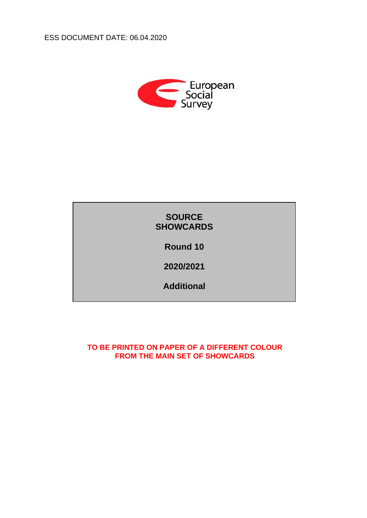

#### **SOURCE SHOWCARDS**

**Round 10**

**2020/2021**

**Additional**

**TO BE PRINTED ON PAPER OF A DIFFERENT COLOUR FROM THE MAIN SET OF SHOWCARDS**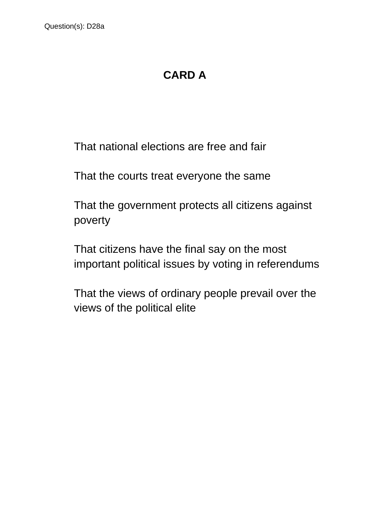Question(s): D28a

# **CARD A**

That national elections are free and fair

That the courts treat everyone the same

That the government protects all citizens against poverty

That citizens have the final say on the most important political issues by voting in referendums

That the views of ordinary people prevail over the views of the political elite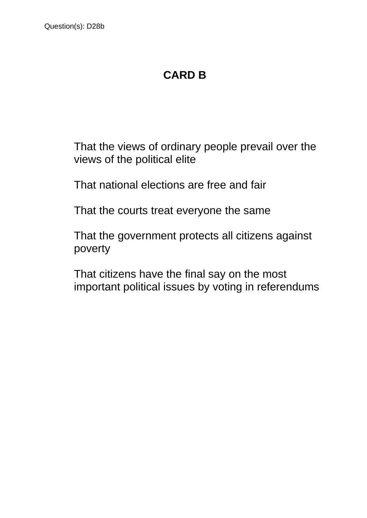Question(s): D28b

#### **CARD B**

That the views of ordinary people prevail over the views of the political elite

That national elections are free and fair

That the courts treat everyone the same

That the government protects all citizens against poverty

That citizens have the final say on the most important political issues by voting in referendums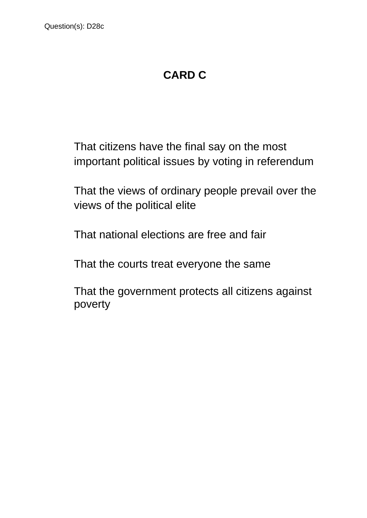Question(s): D28c

# **CARD C**

That citizens have the final say on the most important political issues by voting in referendum

That the views of ordinary people prevail over the views of the political elite

That national elections are free and fair

That the courts treat everyone the same

That the government protects all citizens against poverty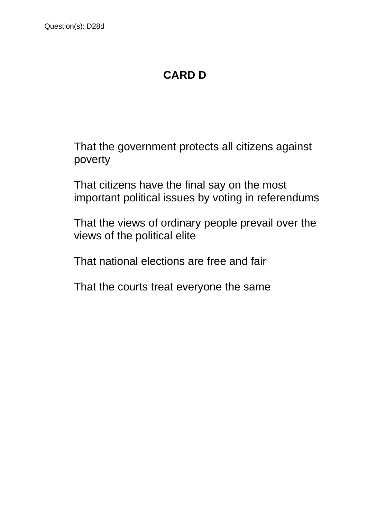# **CARD D**

That the government protects all citizens against poverty

That citizens have the final say on the most important political issues by voting in referendums

That the views of ordinary people prevail over the views of the political elite

That national elections are free and fair

That the courts treat everyone the same